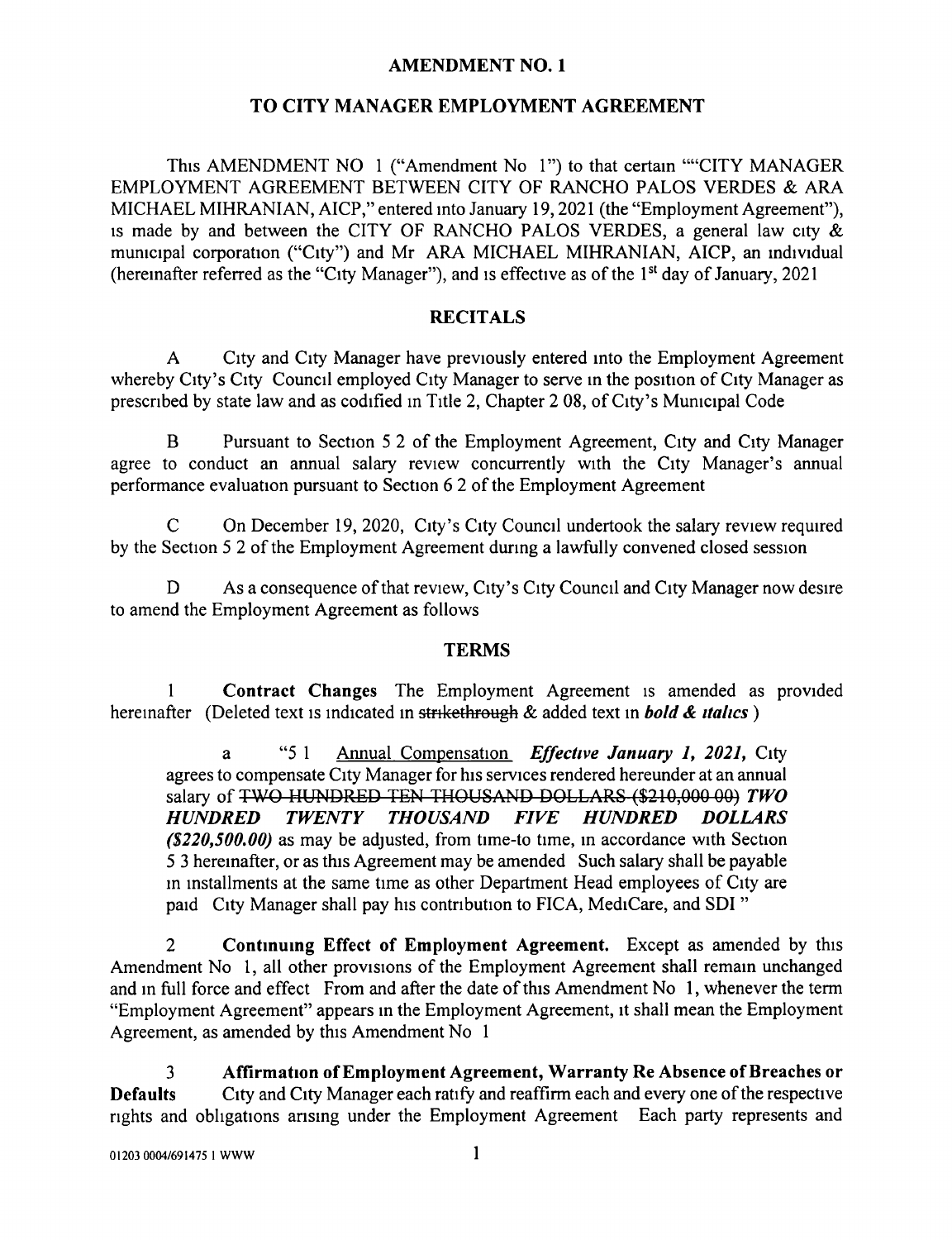## AMENDMENT NO. 1

## TO CITY MANAGER EMPLOYMENT AGREEMENT

This AMENDMENT NO 1 ("Amendment No 1") to that certain ""CITY MANAGER EMPLOYMENT AGREEMENT BETWEEN CITY OF RANCHO PALOS VERDES & ARA MICHAEL MIHRANIAN, AICP," entered into January 19, 2021 (the "Employment Agreement"), is made by and between the CITY OF RANCHO PALOS VERDES, a general law city & municipal corporation ("City") and Mr ARA MICHAEL MIHRANIAN, AICP, an individual hereinafter referred as the "City Manager"), and is effective as of the 1<sup>st</sup> day of January, 2021

## **RECITALS**

A City and City Manager have previously entered into the Employment Agreement whereby City's City Council employed City Manager to serve in the position of City Manager as prescribed by state law and as codified in Title 2, Chapter 2 08, of City's Municipal Code

B Pursuant to Section <sup>5</sup> <sup>2</sup> of the Employment Agreement, City and City Manager agree to conduct an annual salary review concurrently with the City Manager's annual performance evaluation pursuant to Section 6 2 of the Employment Agreement

On December 19, 2020, City's City Council undertook the salary review required by the Section 5 2 of the Employment Agreement during a lawfully convened closed session

D As a consequence of that review, City's City Council and City Manager now desire to amend the Employment Agreement as follows

## **TERMS**

<sup>1</sup> Contract Changes The Employment Agreement is amended as provided hereinafter (Deleted text is indicated in strikethrough & added text in **bold & italics**)

a "5 1 Annual Compensation Effective January 1, 2021, City agrees to compensate City Manager for his services rendered hereunder at an annual salary of TWO HUNDRED TEN THOUSAND DOLLARS (\$210,000 00) TWO<br>HUNDRED TWENTY THOUSAND FIVE HUNDRED DOLLARS TWENTY THOUSAND  $(2220, 500, 00)$  as may be adjusted, from time-to time, in accordance with Section 5 <sup>3</sup> hereinafter, or as this Agreement may be amended Such salary shall be payable in installments at the same time as other Department Head employees of City are paid City Manager shall pay his contribution to FICA, MediCare, and SDI "

2 Continuing Effect of Employment Agreement. Except as amended by this Amendment No 1, all other provisions of the Employment Agreement shall remain unchanged and in full force and effect From and after the date of this Amendment No 1, whenever the term Employment Agreement" appears in the Employment Agreement, it shall mean the Employment Agreement, as amended by this Amendment No <sup>1</sup>

<sup>3</sup> Affirmation of Employment Agreement, Warranty Re Absence of Breaches or Defaults City and City Manager each ratify and reaffirm each and every one of the respective rights and obligations arising under the Employment Agreement Each party represents and